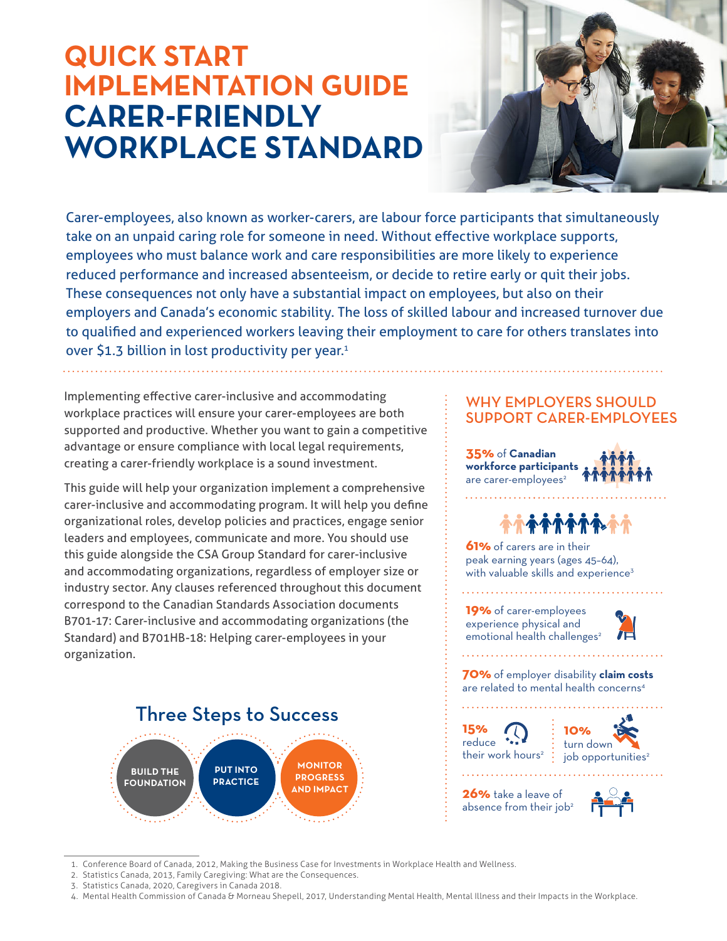## **QUICK START IMPLEMENTATION GUIDE CARER-FRIENDLY WORKPLACE STANDARD**



Carer-employees, also known as worker-carers, are labour force participants that simultaneously take on an unpaid caring role for someone in need. Without effective workplace supports, employees who must balance work and care responsibilities are more likely to experience reduced performance and increased absenteeism, or decide to retire early or quit their jobs. These consequences not only have a substantial impact on employees, but also on their employers and Canada's economic stability. The loss of skilled labour and increased turnover due to qualified and experienced workers leaving their employment to care for others translates into over \$1.3 billion in lost productivity per year. $1$ 

Implementing effective carer-inclusive and accommodating workplace practices will ensure your carer-employees are both supported and productive. Whether you want to gain a competitive advantage or ensure compliance with local legal requirements, creating a carer-friendly workplace is a sound investment.

This guide will help your organization implement a comprehensive carer-inclusive and accommodating program. It will help you define organizational roles, develop policies and practices, engage senior leaders and employees, communicate and more. You should use this guide alongside the CSA Group Standard for carer-inclusive and accommodating organizations, regardless of employer size or industry sector. Any clauses referenced throughout this document correspond to the Canadian Standards Association documents B701-17: Carer-inclusive and accommodating organizations (the Standard) and B701HB-18: Helping carer-employees in your organization.

Three Steps to Success

**PUT INTO PRACTICE**

#### WHY EMPLOYERS SHOULD SUPPORT CARER-EMPLOYEES

**35%** of **Canadian workforce participants**  are carer-employees<sup>2</sup>



**61%** of carers are in their peak earning years (ages 45–64), with valuable skills and experience $3$ 

**19%** of carer-employees experience physical and emotional health challenges<sup>2</sup>



**70%** of employer disability **claim costs**  are related to mental health concerns4

**15%** reduce \*\*\* their work hours<sup>2</sup>  $\frac{1}{2}$ 



**26%** take a leave of absence from their job<sup>2</sup>



. 1 Conference Board of Canada, 2012, Making the Business Case for Investments in Workplace Health and Wellness.

**MONITOR PROGRESS AND IMPACT**

. 2 Statistics Canada, 2013, Family Caregiving: What are the Consequences.

**BUILD THE FOUNDATION**

<sup>.</sup>  3 Statistics Canada, 2020, Caregivers in Canada 2018.

<sup>.</sup>  4 Mental Health Commission of Canada & Morneau Shepell, 2017, Understanding Mental Health, Mental Illness and their Impacts in the Workplace.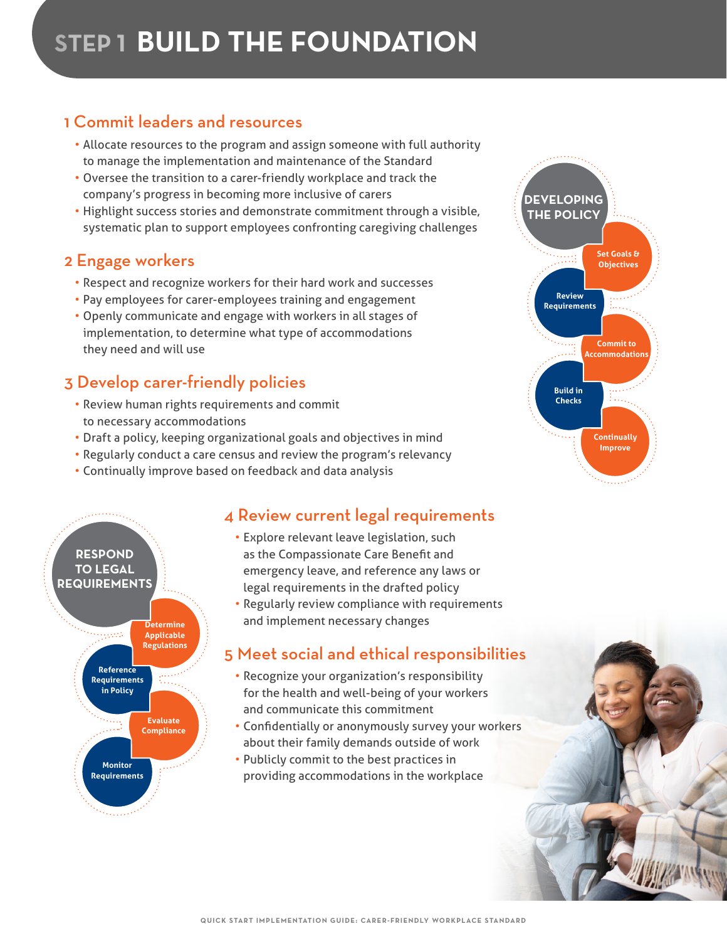## 1 Commit leaders and resources

- Allocate resources to the program and assign someone with full authority to manage the implementation and maintenance of the Standard
- Oversee the transition to a carer-friendly workplace and track the company's progress in becoming more inclusive of carers
- Highlight success stories and demonstrate commitment through a visible, systematic plan to support employees confronting caregiving challenges

## 2 Engage workers

- Respect and recognize workers for their hard work and successes
- Pay employees for carer-employees training and engagement
- Openly communicate and engage with workers in all stages of implementation, to determine what type of accommodations they need and will use

## 3 Develop carer-friendly policies

- Review human rights requirements and commit to necessary accommodations
- Draft a policy, keeping organizational goals and objectives in mind
- Regularly conduct a care census and review the program's relevancy
- Continually improve based on feedback and data analysis



## 4 Review current legal requirements

- Explore relevant leave legislation, such as the Compassionate Care Benefit and emergency leave, and reference any laws or legal requirements in the drafted policy
- Regularly review compliance with requirements and implement necessary changes

## 5 Meet social and ethical responsibilities

- Recognize your organization's responsibility for the health and well-being of your workers and communicate this commitment
- Confidentially or anonymously survey your workers about their family demands outside of work
- Publicly commit to the best practices in providing accommodations in the workplace



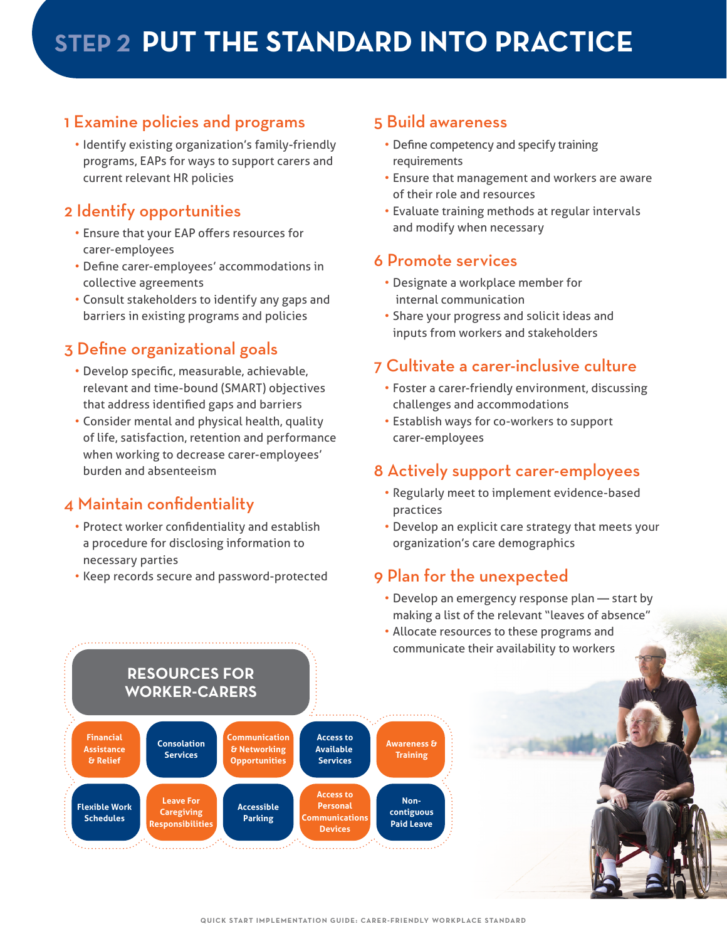## 1 Examine policies and programs

• Identify existing organization's family-friendly programs, EAPs for ways to support carers and current relevant HR policies

## 2 Identify opportunities

- Ensure that your EAP offers resources for carer-employees
- Define carer-employees' accommodations in collective agreements
- Consult stakeholders to identify any gaps and barriers in existing programs and policies

## 3 Define organizational goals

- Develop specific, measurable, achievable, relevant and time-bound (SMART) objectives that address identified gaps and barriers
- Consider mental and physical health, quality of life, satisfaction, retention and performance when working to decrease carer-employees' burden and absenteeism

## 4 Maintain confidentiality

- Protect worker confidentiality and establish a procedure for disclosing information to necessary parties
- Keep records secure and password-protected

#### 5 Build awareness

- Define competency and specify training requirements
- Ensure that management and workers are aware of their role and resources
- Evaluate training methods at regular intervals and modify when necessary

#### 6 Promote services

- Designate a workplace member for internal communication
- Share your progress and solicit ideas and inputs from workers and stakeholders

### 7 Cultivate a carer-inclusive culture

- Foster a carer-friendly environment, discussing challenges and accommodations
- Establish ways for co-workers to support carer-employees

#### 8 Actively support carer-employees

- Regularly meet to implement evidence-based practices
- Develop an explicit care strategy that meets your organization's care demographics

### 9 Plan for the unexpected

- Develop an emergency response plan start by making a list of the relevant "leaves of absence"
- Allocate resources to these programs and communicate their availability to workers